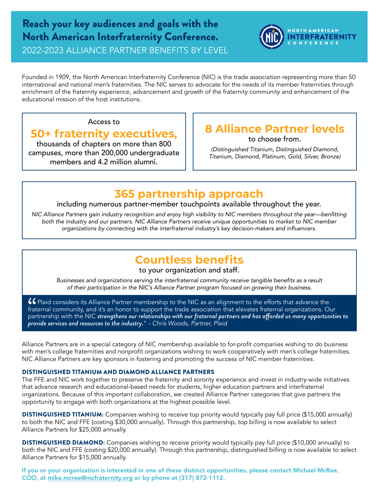## Reach your key audiences and goals with the North American Interfraternity Conference. 2022-2023 ALLIANCE PARTNER BENEFITS BY LEVEL



Founded in 1909, the North American Interfraternity Conference (NIC) is the trade association representing more than 50 international and national men's fraternities. The NIC serves to advocate for the needs of its member fraternities through enrichment of the fraternity experience, advancement and growth of the fraternity community and enhancement of the educational mission of the host institutions.

### Access to

## **50+ fraternity executives,**

thousands of chapters on more than 800 campuses, more than 200,000 undergraduate members and 4.2 million alumni.

### **8 Alliance Partner levels**  to choose from.

*(Distinguished Titanium, Distinguished Diamond, Titanium, Diamond, Platinum, Gold, Silver, Bronze)*

## **365 partnership approach**

### including numerous partner-member touchpoints available throughout the year.

NIC Alliance Partners gain industry recognition and enjoy high visibility to NIC members throughout the year—benfitting *both the industry and our partners. NIC Alliance Partners receive unique opportunities to market to NIC member*  organizations by connecting with the interfraternal industry's key decision-makers and influencers.

# **Countless benefits**

### to your organization and staff.

Businesses and organizations serving the interfraternal community receive tangible benefits as a result *of their participation in the NIC's Alliance Partner program focused on growing their business.*

66 Plaid considers its Alliance Partner membership to the NIC as an alignment to the efforts that advance the<br>fraternal community, and it's an honor to support the trade association that elevates fraternal organizations. O fraternal community, and it's an honor to support the trade association that elevates fraternal organizations. Our *provide services and resources to the industry.*" *- Chris Woods, Partner, Plaid*

Alliance Partners are in a special category of NIC membership available to for-profit companies wishing to do business with men's college fraternities and nonprofit organizations wishing to work cooperatively with men's college fraternities. NIC Alliance Partners are key sponsors in fostering and promoting the success of NIC member fraternities.

#### DISTINGUISHED TITANIUM AND DIAMOND ALLIANCE PARTNERS

The FFE and NIC work together to preserve the fraternity and sorority experience and invest in industry-wide initiatives that advance research and educational-based needs for students, higher education partners and interfraternal organizations. Because of this important collaboration, we created Alliance Partner categories that give partners the opportunity to engage with both organizations at the highest possible level.

DISTINGUISHED TITANIUM: Companies wishing to receive top priority would typically pay full price (\$15,000 annually) to both the NIC and FFE (costing \$30,000 annually). Through this partnership, top billing is now available to select Alliance Partners for \$25,000 annually.

DISTINGUISHED DIAMOND: Companies wishing to receive priority would typically pay full price (\$10,000 annually) to both the NIC and FFE (costing \$20,000 annually). Through this partnership, distinguished billing is now available to select Alliance Partners for \$15,000 annually.

If you or your organization is interested in one of these distinct opportunities, please contact Michael McRee, COO, at [mike.mcree@nicfraternity.org](mailto:mike.mcree@nicfraternity.org) or by phone at (317) 872-1112.